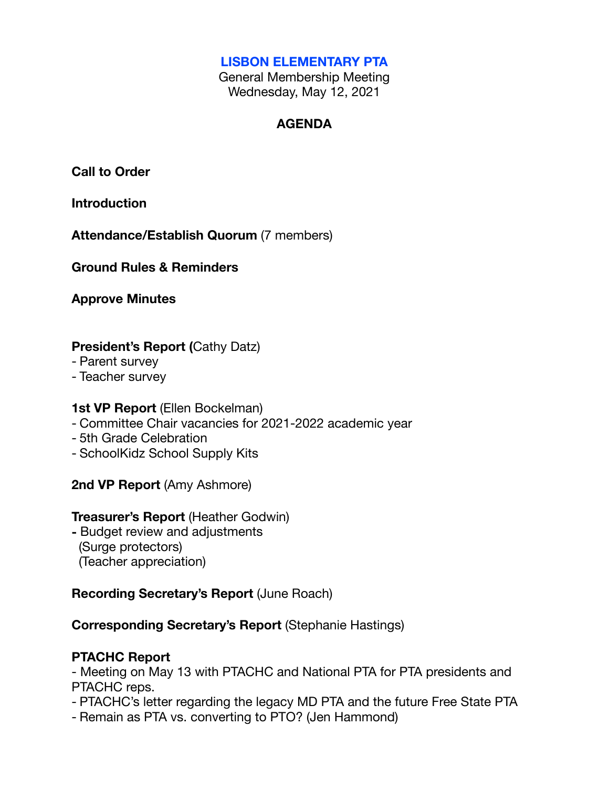#### **LISBON ELEMENTARY PTA**

General Membership Meeting Wednesday, May 12, 2021

#### **AGENDA**

**Call to Order**

**Introduction**

**Attendance/Establish Quorum** (7 members)

**Ground Rules & Reminders**

**Approve Minutes**

# **President's Report (**Cathy Datz)

- Parent survey
- Teacher survey

#### **1st VP Report (Ellen Bockelman)**

- Committee Chair vacancies for 2021-2022 academic year
- 5th Grade Celebration
- SchoolKidz School Supply Kits

**2nd VP Report** (Amy Ashmore)

#### **Treasurer's Report** (Heather Godwin)

**-** Budget review and adjustments (Surge protectors) (Teacher appreciation)

# **Recording Secretary's Report** (June Roach)

# **Corresponding Secretary's Report** (Stephanie Hastings)

# **PTACHC Report**

- Meeting on May 13 with PTACHC and National PTA for PTA presidents and PTACHC reps.

- PTACHC's letter regarding the legacy MD PTA and the future Free State PTA
- Remain as PTA vs. converting to PTO? (Jen Hammond)